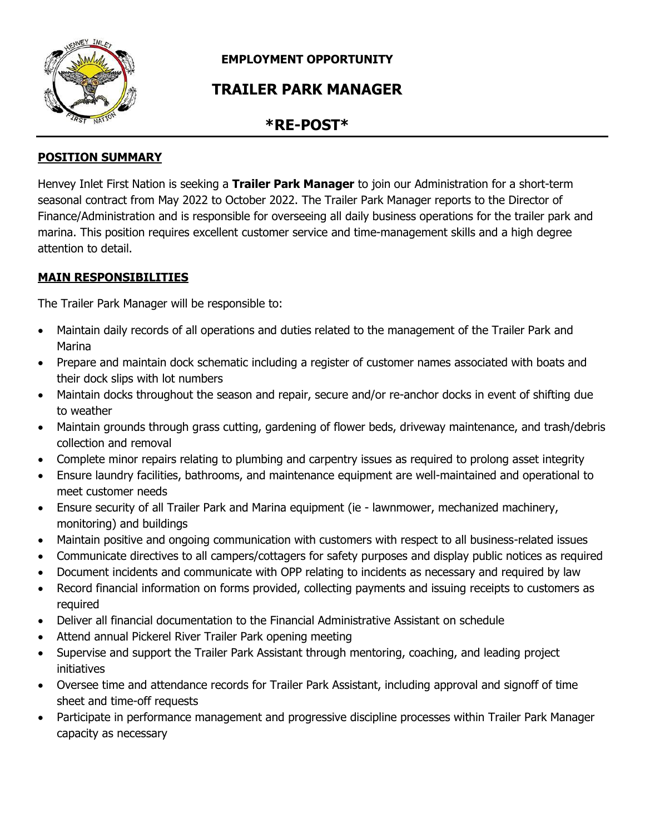

**EMPLOYMENT OPPORTUNITY**

# **TRAILER PARK MANAGER**

# **\*RE-POST\***

### **POSITION SUMMARY**

Henvey Inlet First Nation is seeking a **Trailer Park Manager** to join our Administration for a short-term seasonal contract from May 2022 to October 2022. The Trailer Park Manager reports to the Director of Finance/Administration and is responsible for overseeing all daily business operations for the trailer park and marina. This position requires excellent customer service and time-management skills and a high degree attention to detail.

### **MAIN RESPONSIBILITIES**

The Trailer Park Manager will be responsible to:

- Maintain daily records of all operations and duties related to the management of the Trailer Park and Marina
- Prepare and maintain dock schematic including a register of customer names associated with boats and their dock slips with lot numbers
- Maintain docks throughout the season and repair, secure and/or re-anchor docks in event of shifting due to weather
- Maintain grounds through grass cutting, gardening of flower beds, driveway maintenance, and trash/debris collection and removal
- Complete minor repairs relating to plumbing and carpentry issues as required to prolong asset integrity
- Ensure laundry facilities, bathrooms, and maintenance equipment are well-maintained and operational to meet customer needs
- Ensure security of all Trailer Park and Marina equipment (ie lawnmower, mechanized machinery, monitoring) and buildings
- Maintain positive and ongoing communication with customers with respect to all business-related issues
- Communicate directives to all campers/cottagers for safety purposes and display public notices as required
- Document incidents and communicate with OPP relating to incidents as necessary and required by law
- Record financial information on forms provided, collecting payments and issuing receipts to customers as required
- Deliver all financial documentation to the Financial Administrative Assistant on schedule
- Attend annual Pickerel River Trailer Park opening meeting
- Supervise and support the Trailer Park Assistant through mentoring, coaching, and leading project initiatives
- Oversee time and attendance records for Trailer Park Assistant, including approval and signoff of time sheet and time-off requests
- Participate in performance management and progressive discipline processes within Trailer Park Manager capacity as necessary